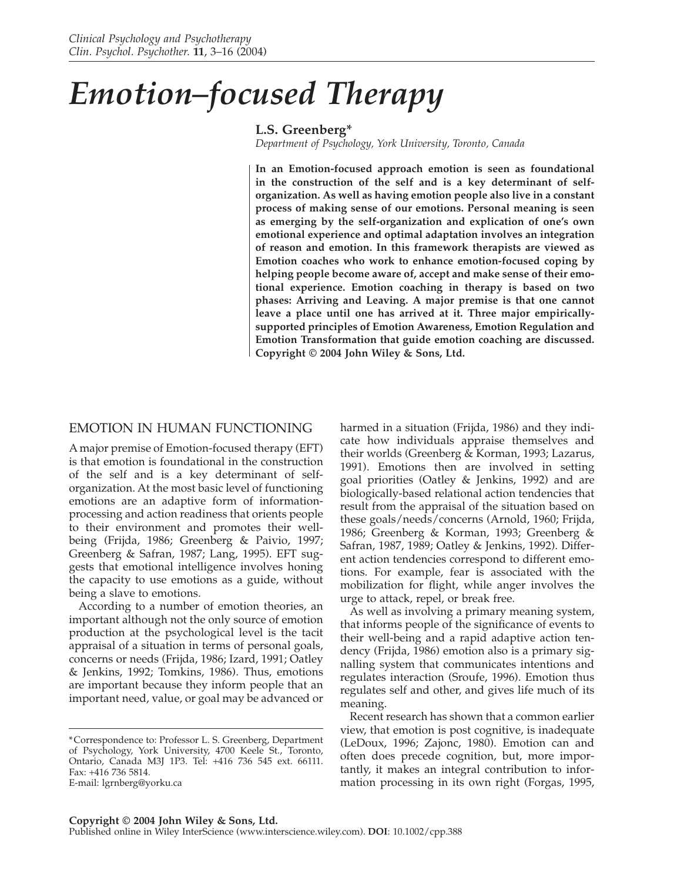# *Emotion–focused Therapy*

# **L.S. Greenberg\***

*Department of Psychology, York University, Toronto, Canada*

**In an Emotion-focused approach emotion is seen as foundational in the construction of the self and is a key determinant of selforganization. As well as having emotion people also live in a constant process of making sense of our emotions. Personal meaning is seen as emerging by the self-organization and explication of one's own emotional experience and optimal adaptation involves an integration of reason and emotion. In this framework therapists are viewed as Emotion coaches who work to enhance emotion-focused coping by helping people become aware of, accept and make sense of their emotional experience. Emotion coaching in therapy is based on two phases: Arriving and Leaving. A major premise is that one cannot leave a place until one has arrived at it. Three major empiricallysupported principles of Emotion Awareness, Emotion Regulation and Emotion Transformation that guide emotion coaching are discussed. Copyright © 2004 John Wiley & Sons, Ltd.**

# EMOTION IN HUMAN FUNCTIONING

A major premise of Emotion-focused therapy (EFT) is that emotion is foundational in the construction of the self and is a key determinant of selforganization. At the most basic level of functioning emotions are an adaptive form of informationprocessing and action readiness that orients people to their environment and promotes their wellbeing (Frijda, 1986; Greenberg & Paivio, 1997; Greenberg & Safran, 1987; Lang, 1995). EFT suggests that emotional intelligence involves honing the capacity to use emotions as a guide, without being a slave to emotions.

According to a number of emotion theories, an important although not the only source of emotion production at the psychological level is the tacit appraisal of a situation in terms of personal goals, concerns or needs (Frijda, 1986; Izard, 1991; Oatley & Jenkins, 1992; Tomkins, 1986). Thus, emotions are important because they inform people that an important need, value, or goal may be advanced or

E-mail: lgrnberg@yorku.ca

harmed in a situation (Frijda, 1986) and they indicate how individuals appraise themselves and their worlds (Greenberg & Korman, 1993; Lazarus, 1991). Emotions then are involved in setting goal priorities (Oatley & Jenkins, 1992) and are biologically-based relational action tendencies that result from the appraisal of the situation based on these goals/needs/concerns (Arnold, 1960; Frijda, 1986; Greenberg & Korman, 1993; Greenberg & Safran, 1987, 1989; Oatley & Jenkins, 1992). Different action tendencies correspond to different emotions. For example, fear is associated with the mobilization for flight, while anger involves the urge to attack, repel, or break free.

As well as involving a primary meaning system, that informs people of the significance of events to their well-being and a rapid adaptive action tendency (Frijda, 1986) emotion also is a primary signalling system that communicates intentions and regulates interaction (Sroufe, 1996). Emotion thus regulates self and other, and gives life much of its meaning.

Recent research has shown that a common earlier view, that emotion is post cognitive, is inadequate (LeDoux, 1996; Zajonc, 1980). Emotion can and often does precede cognition, but, more importantly, it makes an integral contribution to information processing in its own right (Forgas, 1995,

<sup>\*</sup> Correspondence to: Professor L. S. Greenberg, Department of Psychology, York University, 4700 Keele St., Toronto, Ontario, Canada M3J 1P3. Tel: +416 736 545 ext. 66111. Fax: +416 736 5814.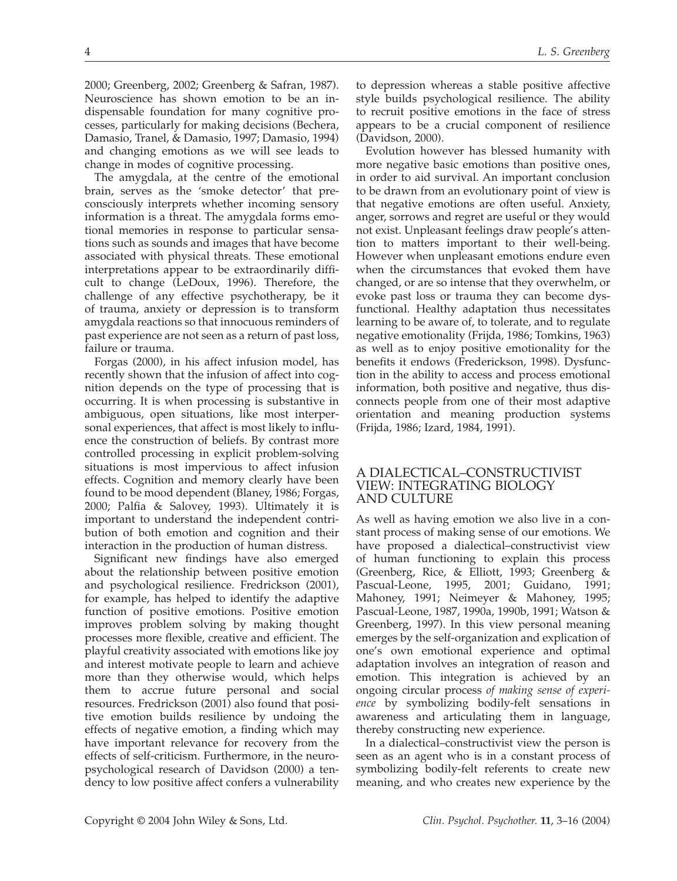2000; Greenberg, 2002; Greenberg & Safran, 1987). Neuroscience has shown emotion to be an indispensable foundation for many cognitive processes, particularly for making decisions (Bechera, Damasio, Tranel, & Damasio, 1997; Damasio, 1994) and changing emotions as we will see leads to change in modes of cognitive processing.

The amygdala, at the centre of the emotional brain, serves as the 'smoke detector' that preconsciously interprets whether incoming sensory information is a threat. The amygdala forms emotional memories in response to particular sensations such as sounds and images that have become associated with physical threats. These emotional interpretations appear to be extraordinarily difficult to change (LeDoux, 1996). Therefore, the challenge of any effective psychotherapy, be it of trauma, anxiety or depression is to transform amygdala reactions so that innocuous reminders of past experience are not seen as a return of past loss, failure or trauma.

Forgas (2000), in his affect infusion model, has recently shown that the infusion of affect into cognition depends on the type of processing that is occurring. It is when processing is substantive in ambiguous, open situations, like most interpersonal experiences, that affect is most likely to influence the construction of beliefs. By contrast more controlled processing in explicit problem-solving situations is most impervious to affect infusion effects. Cognition and memory clearly have been found to be mood dependent (Blaney, 1986; Forgas, 2000; Palfia & Salovey, 1993). Ultimately it is important to understand the independent contribution of both emotion and cognition and their interaction in the production of human distress.

Significant new findings have also emerged about the relationship between positive emotion and psychological resilience. Fredrickson (2001), for example, has helped to identify the adaptive function of positive emotions. Positive emotion improves problem solving by making thought processes more flexible, creative and efficient. The playful creativity associated with emotions like joy and interest motivate people to learn and achieve more than they otherwise would, which helps them to accrue future personal and social resources. Fredrickson (2001) also found that positive emotion builds resilience by undoing the effects of negative emotion, a finding which may have important relevance for recovery from the effects of self-criticism. Furthermore, in the neuropsychological research of Davidson (2000) a tendency to low positive affect confers a vulnerability

to depression whereas a stable positive affective style builds psychological resilience. The ability to recruit positive emotions in the face of stress appears to be a crucial component of resilience (Davidson, 2000).

Evolution however has blessed humanity with more negative basic emotions than positive ones, in order to aid survival. An important conclusion to be drawn from an evolutionary point of view is that negative emotions are often useful. Anxiety, anger, sorrows and regret are useful or they would not exist. Unpleasant feelings draw people's attention to matters important to their well-being. However when unpleasant emotions endure even when the circumstances that evoked them have changed, or are so intense that they overwhelm, or evoke past loss or trauma they can become dysfunctional. Healthy adaptation thus necessitates learning to be aware of, to tolerate, and to regulate negative emotionality (Frijda, 1986; Tomkins, 1963) as well as to enjoy positive emotionality for the benefits it endows (Frederickson, 1998). Dysfunction in the ability to access and process emotional information, both positive and negative, thus disconnects people from one of their most adaptive orientation and meaning production systems (Frijda, 1986; Izard, 1984, 1991).

# A DIALECTICAL–CONSTRUCTIVIST VIEW: INTEGRATING BIOLOGY AND CULTURE

As well as having emotion we also live in a constant process of making sense of our emotions. We have proposed a dialectical–constructivist view of human functioning to explain this process (Greenberg, Rice, & Elliott, 1993; Greenberg & Pascual-Leone, 1995, 2001; Guidano, 1991; Mahoney, 1991; Neimeyer & Mahoney, 1995; Pascual-Leone, 1987, 1990a, 1990b, 1991; Watson & Greenberg, 1997). In this view personal meaning emerges by the self-organization and explication of one's own emotional experience and optimal adaptation involves an integration of reason and emotion. This integration is achieved by an ongoing circular process *of making sense of experience* by symbolizing bodily-felt sensations in awareness and articulating them in language, thereby constructing new experience.

In a dialectical–constructivist view the person is seen as an agent who is in a constant process of symbolizing bodily-felt referents to create new meaning, and who creates new experience by the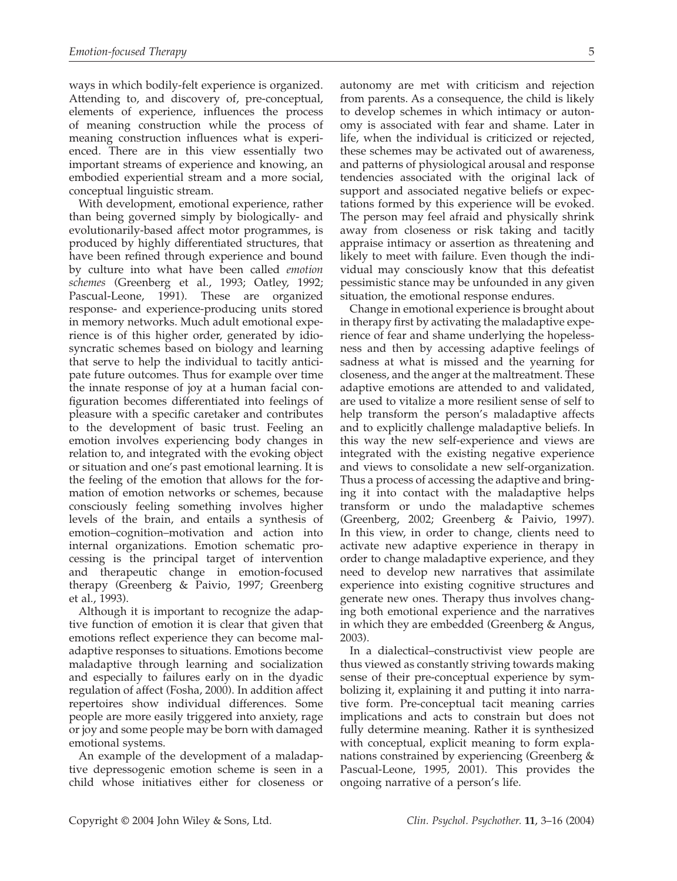ways in which bodily-felt experience is organized. Attending to, and discovery of, pre-conceptual, elements of experience, influences the process of meaning construction while the process of meaning construction influences what is experienced. There are in this view essentially two important streams of experience and knowing, an embodied experiential stream and a more social, conceptual linguistic stream.

With development, emotional experience, rather than being governed simply by biologically- and evolutionarily-based affect motor programmes, is produced by highly differentiated structures, that have been refined through experience and bound by culture into what have been called *emotion schemes* (Greenberg et al., 1993; Oatley, 1992; Pascual-Leone, 1991). These are organized response- and experience-producing units stored in memory networks. Much adult emotional experience is of this higher order, generated by idiosyncratic schemes based on biology and learning that serve to help the individual to tacitly anticipate future outcomes. Thus for example over time the innate response of joy at a human facial configuration becomes differentiated into feelings of pleasure with a specific caretaker and contributes to the development of basic trust. Feeling an emotion involves experiencing body changes in relation to, and integrated with the evoking object or situation and one's past emotional learning. It is the feeling of the emotion that allows for the formation of emotion networks or schemes, because consciously feeling something involves higher levels of the brain, and entails a synthesis of emotion–cognition–motivation and action into internal organizations. Emotion schematic processing is the principal target of intervention and therapeutic change in emotion-focused therapy (Greenberg & Paivio, 1997; Greenberg et al., 1993).

Although it is important to recognize the adaptive function of emotion it is clear that given that emotions reflect experience they can become maladaptive responses to situations. Emotions become maladaptive through learning and socialization and especially to failures early on in the dyadic regulation of affect (Fosha, 2000). In addition affect repertoires show individual differences. Some people are more easily triggered into anxiety, rage or joy and some people may be born with damaged emotional systems.

An example of the development of a maladaptive depressogenic emotion scheme is seen in a child whose initiatives either for closeness or

autonomy are met with criticism and rejection from parents. As a consequence, the child is likely to develop schemes in which intimacy or autonomy is associated with fear and shame. Later in life, when the individual is criticized or rejected, these schemes may be activated out of awareness, and patterns of physiological arousal and response tendencies associated with the original lack of support and associated negative beliefs or expectations formed by this experience will be evoked. The person may feel afraid and physically shrink away from closeness or risk taking and tacitly appraise intimacy or assertion as threatening and likely to meet with failure. Even though the individual may consciously know that this defeatist pessimistic stance may be unfounded in any given situation, the emotional response endures.

Change in emotional experience is brought about in therapy first by activating the maladaptive experience of fear and shame underlying the hopelessness and then by accessing adaptive feelings of sadness at what is missed and the yearning for closeness, and the anger at the maltreatment. These adaptive emotions are attended to and validated, are used to vitalize a more resilient sense of self to help transform the person's maladaptive affects and to explicitly challenge maladaptive beliefs. In this way the new self-experience and views are integrated with the existing negative experience and views to consolidate a new self-organization. Thus a process of accessing the adaptive and bringing it into contact with the maladaptive helps transform or undo the maladaptive schemes (Greenberg, 2002; Greenberg & Paivio, 1997). In this view, in order to change, clients need to activate new adaptive experience in therapy in order to change maladaptive experience, and they need to develop new narratives that assimilate experience into existing cognitive structures and generate new ones. Therapy thus involves changing both emotional experience and the narratives in which they are embedded (Greenberg & Angus, 2003).

In a dialectical–constructivist view people are thus viewed as constantly striving towards making sense of their pre-conceptual experience by symbolizing it, explaining it and putting it into narrative form. Pre-conceptual tacit meaning carries implications and acts to constrain but does not fully determine meaning. Rather it is synthesized with conceptual, explicit meaning to form explanations constrained by experiencing (Greenberg & Pascual-Leone, 1995, 2001). This provides the ongoing narrative of a person's life.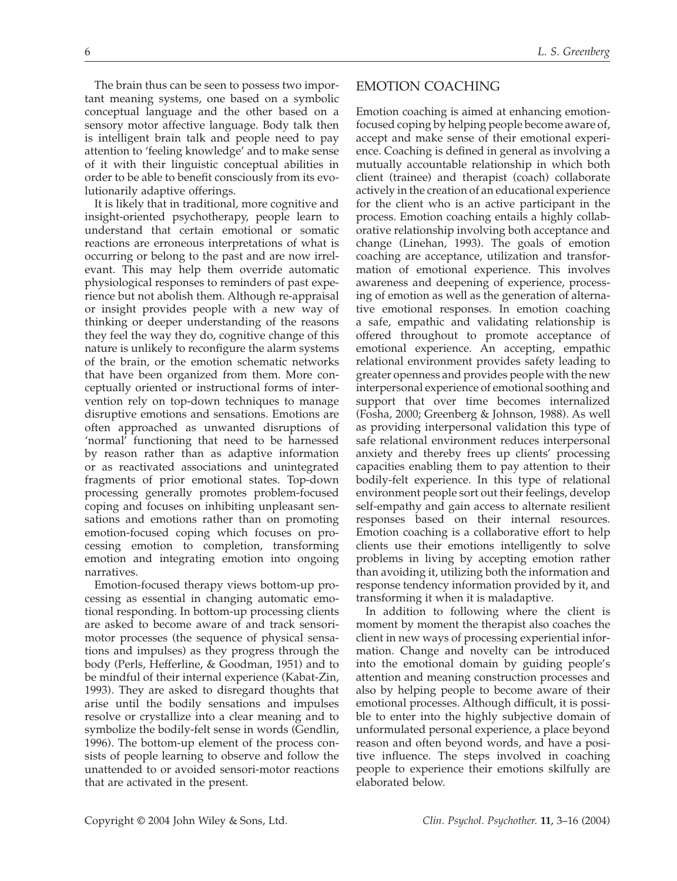The brain thus can be seen to possess two important meaning systems, one based on a symbolic conceptual language and the other based on a sensory motor affective language. Body talk then is intelligent brain talk and people need to pay attention to 'feeling knowledge' and to make sense of it with their linguistic conceptual abilities in order to be able to benefit consciously from its evolutionarily adaptive offerings.

It is likely that in traditional, more cognitive and insight-oriented psychotherapy, people learn to understand that certain emotional or somatic reactions are erroneous interpretations of what is occurring or belong to the past and are now irrelevant. This may help them override automatic physiological responses to reminders of past experience but not abolish them. Although re-appraisal or insight provides people with a new way of thinking or deeper understanding of the reasons they feel the way they do, cognitive change of this nature is unlikely to reconfigure the alarm systems of the brain, or the emotion schematic networks that have been organized from them. More conceptually oriented or instructional forms of intervention rely on top-down techniques to manage disruptive emotions and sensations. Emotions are often approached as unwanted disruptions of 'normal' functioning that need to be harnessed by reason rather than as adaptive information or as reactivated associations and unintegrated fragments of prior emotional states. Top-down processing generally promotes problem-focused coping and focuses on inhibiting unpleasant sensations and emotions rather than on promoting emotion-focused coping which focuses on processing emotion to completion, transforming emotion and integrating emotion into ongoing narratives.

Emotion-focused therapy views bottom-up processing as essential in changing automatic emotional responding. In bottom-up processing clients are asked to become aware of and track sensorimotor processes (the sequence of physical sensations and impulses) as they progress through the body (Perls, Hefferline, & Goodman, 1951) and to be mindful of their internal experience (Kabat-Zin, 1993). They are asked to disregard thoughts that arise until the bodily sensations and impulses resolve or crystallize into a clear meaning and to symbolize the bodily-felt sense in words (Gendlin, 1996). The bottom-up element of the process consists of people learning to observe and follow the unattended to or avoided sensori-motor reactions that are activated in the present.

# EMOTION COACHING

Emotion coaching is aimed at enhancing emotionfocused coping by helping people become aware of, accept and make sense of their emotional experience. Coaching is defined in general as involving a mutually accountable relationship in which both client (trainee) and therapist (coach) collaborate actively in the creation of an educational experience for the client who is an active participant in the process. Emotion coaching entails a highly collaborative relationship involving both acceptance and change (Linehan, 1993). The goals of emotion coaching are acceptance, utilization and transformation of emotional experience. This involves awareness and deepening of experience, processing of emotion as well as the generation of alternative emotional responses. In emotion coaching a safe, empathic and validating relationship is offered throughout to promote acceptance of emotional experience. An accepting, empathic relational environment provides safety leading to greater openness and provides people with the new interpersonal experience of emotional soothing and support that over time becomes internalized (Fosha, 2000; Greenberg & Johnson, 1988). As well as providing interpersonal validation this type of safe relational environment reduces interpersonal anxiety and thereby frees up clients' processing capacities enabling them to pay attention to their bodily-felt experience. In this type of relational environment people sort out their feelings, develop self-empathy and gain access to alternate resilient responses based on their internal resources. Emotion coaching is a collaborative effort to help clients use their emotions intelligently to solve problems in living by accepting emotion rather than avoiding it, utilizing both the information and response tendency information provided by it, and transforming it when it is maladaptive.

In addition to following where the client is moment by moment the therapist also coaches the client in new ways of processing experiential information. Change and novelty can be introduced into the emotional domain by guiding people's attention and meaning construction processes and also by helping people to become aware of their emotional processes. Although difficult, it is possible to enter into the highly subjective domain of unformulated personal experience, a place beyond reason and often beyond words, and have a positive influence. The steps involved in coaching people to experience their emotions skilfully are elaborated below.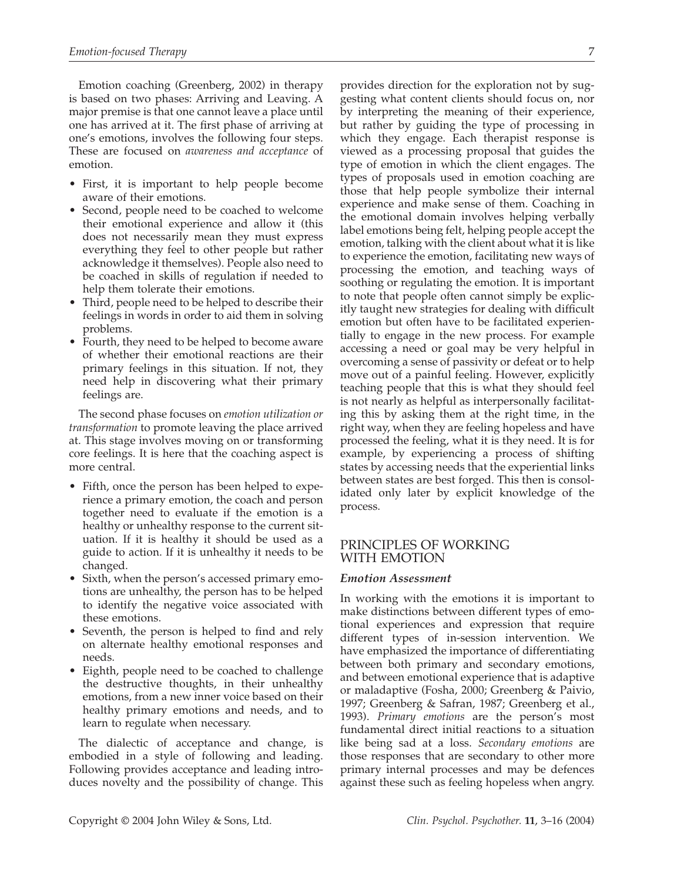Emotion coaching (Greenberg, 2002) in therapy is based on two phases: Arriving and Leaving. A major premise is that one cannot leave a place until one has arrived at it. The first phase of arriving at one's emotions, involves the following four steps. These are focused on *awareness and acceptance* of emotion.

- First, it is important to help people become aware of their emotions.
- Second, people need to be coached to welcome their emotional experience and allow it (this does not necessarily mean they must express everything they feel to other people but rather acknowledge it themselves). People also need to be coached in skills of regulation if needed to help them tolerate their emotions.
- Third, people need to be helped to describe their feelings in words in order to aid them in solving problems.
- Fourth, they need to be helped to become aware of whether their emotional reactions are their primary feelings in this situation. If not, they need help in discovering what their primary feelings are.

The second phase focuses on *emotion utilization or transformation* to promote leaving the place arrived at. This stage involves moving on or transforming core feelings. It is here that the coaching aspect is more central.

- Fifth, once the person has been helped to experience a primary emotion, the coach and person together need to evaluate if the emotion is a healthy or unhealthy response to the current situation. If it is healthy it should be used as a guide to action. If it is unhealthy it needs to be changed.
- Sixth, when the person's accessed primary emotions are unhealthy, the person has to be helped to identify the negative voice associated with these emotions.
- Seventh, the person is helped to find and rely on alternate healthy emotional responses and needs.
- Eighth, people need to be coached to challenge the destructive thoughts, in their unhealthy emotions, from a new inner voice based on their healthy primary emotions and needs, and to learn to regulate when necessary.

The dialectic of acceptance and change, is embodied in a style of following and leading. Following provides acceptance and leading introduces novelty and the possibility of change. This provides direction for the exploration not by suggesting what content clients should focus on, nor by interpreting the meaning of their experience, but rather by guiding the type of processing in which they engage. Each therapist response is viewed as a processing proposal that guides the type of emotion in which the client engages. The types of proposals used in emotion coaching are those that help people symbolize their internal experience and make sense of them. Coaching in the emotional domain involves helping verbally label emotions being felt, helping people accept the emotion, talking with the client about what it is like to experience the emotion, facilitating new ways of processing the emotion, and teaching ways of soothing or regulating the emotion. It is important to note that people often cannot simply be explicitly taught new strategies for dealing with difficult emotion but often have to be facilitated experientially to engage in the new process. For example accessing a need or goal may be very helpful in overcoming a sense of passivity or defeat or to help move out of a painful feeling. However, explicitly teaching people that this is what they should feel is not nearly as helpful as interpersonally facilitating this by asking them at the right time, in the right way, when they are feeling hopeless and have processed the feeling, what it is they need. It is for example, by experiencing a process of shifting states by accessing needs that the experiential links between states are best forged. This then is consolidated only later by explicit knowledge of the process.

# PRINCIPLES OF WORKING WITH EMOTION

#### *Emotion Assessment*

In working with the emotions it is important to make distinctions between different types of emotional experiences and expression that require different types of in-session intervention. We have emphasized the importance of differentiating between both primary and secondary emotions, and between emotional experience that is adaptive or maladaptive (Fosha, 2000; Greenberg & Paivio, 1997; Greenberg & Safran, 1987; Greenberg et al., 1993). *Primary emotions* are the person's most fundamental direct initial reactions to a situation like being sad at a loss. *Secondary emotions* are those responses that are secondary to other more primary internal processes and may be defences against these such as feeling hopeless when angry.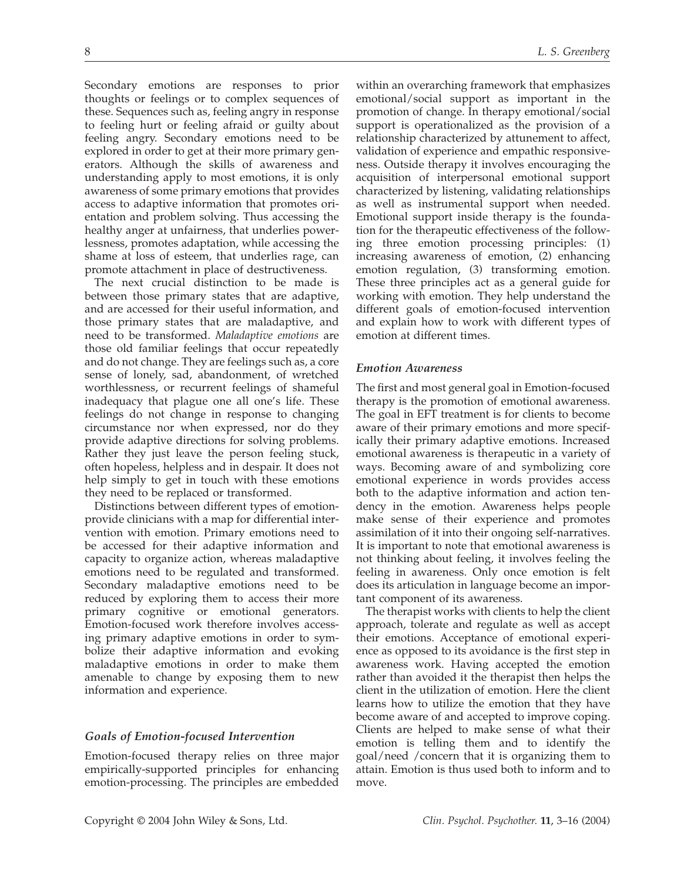Secondary emotions are responses to prior thoughts or feelings or to complex sequences of these. Sequences such as, feeling angry in response to feeling hurt or feeling afraid or guilty about feeling angry. Secondary emotions need to be explored in order to get at their more primary generators. Although the skills of awareness and understanding apply to most emotions, it is only awareness of some primary emotions that provides access to adaptive information that promotes orientation and problem solving. Thus accessing the healthy anger at unfairness, that underlies powerlessness, promotes adaptation, while accessing the shame at loss of esteem, that underlies rage, can promote attachment in place of destructiveness.

The next crucial distinction to be made is between those primary states that are adaptive, and are accessed for their useful information, and those primary states that are maladaptive, and need to be transformed. *Maladaptive emotions* are those old familiar feelings that occur repeatedly and do not change. They are feelings such as, a core sense of lonely, sad, abandonment, of wretched worthlessness, or recurrent feelings of shameful inadequacy that plague one all one's life. These feelings do not change in response to changing circumstance nor when expressed, nor do they provide adaptive directions for solving problems. Rather they just leave the person feeling stuck, often hopeless, helpless and in despair. It does not help simply to get in touch with these emotions they need to be replaced or transformed.

Distinctions between different types of emotionprovide clinicians with a map for differential intervention with emotion. Primary emotions need to be accessed for their adaptive information and capacity to organize action, whereas maladaptive emotions need to be regulated and transformed. Secondary maladaptive emotions need to be reduced by exploring them to access their more primary cognitive or emotional generators. Emotion-focused work therefore involves accessing primary adaptive emotions in order to symbolize their adaptive information and evoking maladaptive emotions in order to make them amenable to change by exposing them to new information and experience.

#### *Goals of Emotion-focused Intervention*

Emotion-focused therapy relies on three major empirically-supported principles for enhancing emotion-processing. The principles are embedded

within an overarching framework that emphasizes emotional/social support as important in the promotion of change. In therapy emotional/social support is operationalized as the provision of a relationship characterized by attunement to affect, validation of experience and empathic responsiveness. Outside therapy it involves encouraging the acquisition of interpersonal emotional support characterized by listening, validating relationships as well as instrumental support when needed. Emotional support inside therapy is the foundation for the therapeutic effectiveness of the following three emotion processing principles: (1) increasing awareness of emotion, (2) enhancing emotion regulation, (3) transforming emotion. These three principles act as a general guide for working with emotion. They help understand the different goals of emotion-focused intervention and explain how to work with different types of emotion at different times.

#### *Emotion Awareness*

The first and most general goal in Emotion-focused therapy is the promotion of emotional awareness. The goal in EFT treatment is for clients to become aware of their primary emotions and more specifically their primary adaptive emotions. Increased emotional awareness is therapeutic in a variety of ways. Becoming aware of and symbolizing core emotional experience in words provides access both to the adaptive information and action tendency in the emotion. Awareness helps people make sense of their experience and promotes assimilation of it into their ongoing self-narratives. It is important to note that emotional awareness is not thinking about feeling, it involves feeling the feeling in awareness. Only once emotion is felt does its articulation in language become an important component of its awareness.

The therapist works with clients to help the client approach, tolerate and regulate as well as accept their emotions. Acceptance of emotional experience as opposed to its avoidance is the first step in awareness work. Having accepted the emotion rather than avoided it the therapist then helps the client in the utilization of emotion. Here the client learns how to utilize the emotion that they have become aware of and accepted to improve coping. Clients are helped to make sense of what their emotion is telling them and to identify the goal/need /concern that it is organizing them to attain. Emotion is thus used both to inform and to move.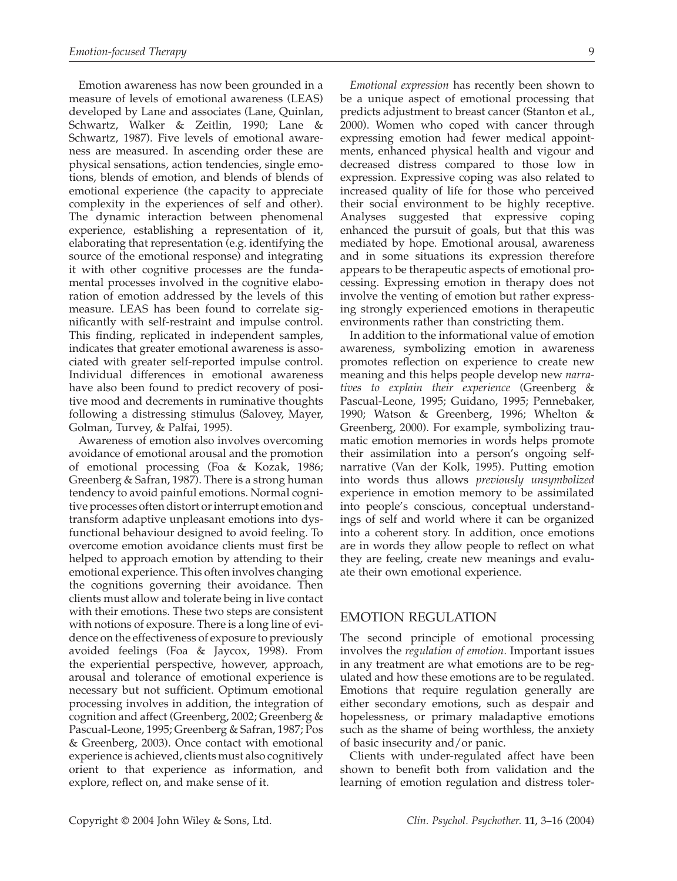Emotion awareness has now been grounded in a measure of levels of emotional awareness (LEAS) developed by Lane and associates (Lane, Quinlan, Schwartz, Walker & Zeitlin, 1990; Lane & Schwartz, 1987). Five levels of emotional awareness are measured. In ascending order these are physical sensations, action tendencies, single emotions, blends of emotion, and blends of blends of emotional experience (the capacity to appreciate complexity in the experiences of self and other). The dynamic interaction between phenomenal experience, establishing a representation of it, elaborating that representation (e.g. identifying the source of the emotional response) and integrating it with other cognitive processes are the fundamental processes involved in the cognitive elaboration of emotion addressed by the levels of this measure. LEAS has been found to correlate significantly with self-restraint and impulse control. This finding, replicated in independent samples, indicates that greater emotional awareness is associated with greater self-reported impulse control. Individual differences in emotional awareness have also been found to predict recovery of positive mood and decrements in ruminative thoughts following a distressing stimulus (Salovey, Mayer, Golman, Turvey, & Palfai, 1995).

Awareness of emotion also involves overcoming avoidance of emotional arousal and the promotion of emotional processing (Foa & Kozak, 1986; Greenberg & Safran, 1987). There is a strong human tendency to avoid painful emotions. Normal cognitive processes often distort or interrupt emotion and transform adaptive unpleasant emotions into dysfunctional behaviour designed to avoid feeling. To overcome emotion avoidance clients must first be helped to approach emotion by attending to their emotional experience. This often involves changing the cognitions governing their avoidance. Then clients must allow and tolerate being in live contact with their emotions. These two steps are consistent with notions of exposure. There is a long line of evidence on the effectiveness of exposure to previously avoided feelings (Foa & Jaycox, 1998). From the experiential perspective, however, approach, arousal and tolerance of emotional experience is necessary but not sufficient. Optimum emotional processing involves in addition, the integration of cognition and affect (Greenberg, 2002; Greenberg & Pascual-Leone, 1995; Greenberg & Safran, 1987; Pos & Greenberg, 2003). Once contact with emotional experience is achieved, clients must also cognitively orient to that experience as information, and explore, reflect on, and make sense of it.

*Emotional expression* has recently been shown to be a unique aspect of emotional processing that predicts adjustment to breast cancer (Stanton et al., 2000). Women who coped with cancer through expressing emotion had fewer medical appointments, enhanced physical health and vigour and decreased distress compared to those low in expression. Expressive coping was also related to increased quality of life for those who perceived their social environment to be highly receptive. Analyses suggested that expressive coping enhanced the pursuit of goals, but that this was mediated by hope. Emotional arousal, awareness and in some situations its expression therefore appears to be therapeutic aspects of emotional processing. Expressing emotion in therapy does not involve the venting of emotion but rather expressing strongly experienced emotions in therapeutic environments rather than constricting them.

In addition to the informational value of emotion awareness, symbolizing emotion in awareness promotes reflection on experience to create new meaning and this helps people develop new *narratives to explain their experience* (Greenberg & Pascual-Leone, 1995; Guidano, 1995; Pennebaker, 1990; Watson & Greenberg, 1996; Whelton & Greenberg, 2000). For example, symbolizing traumatic emotion memories in words helps promote their assimilation into a person's ongoing selfnarrative (Van der Kolk, 1995). Putting emotion into words thus allows *previously unsymbolized* experience in emotion memory to be assimilated into people's conscious, conceptual understandings of self and world where it can be organized into a coherent story. In addition, once emotions are in words they allow people to reflect on what they are feeling, create new meanings and evaluate their own emotional experience.

#### EMOTION REGULATION

The second principle of emotional processing involves the *regulation of emotion.* Important issues in any treatment are what emotions are to be regulated and how these emotions are to be regulated. Emotions that require regulation generally are either secondary emotions, such as despair and hopelessness, or primary maladaptive emotions such as the shame of being worthless, the anxiety of basic insecurity and/or panic.

Clients with under-regulated affect have been shown to benefit both from validation and the learning of emotion regulation and distress toler-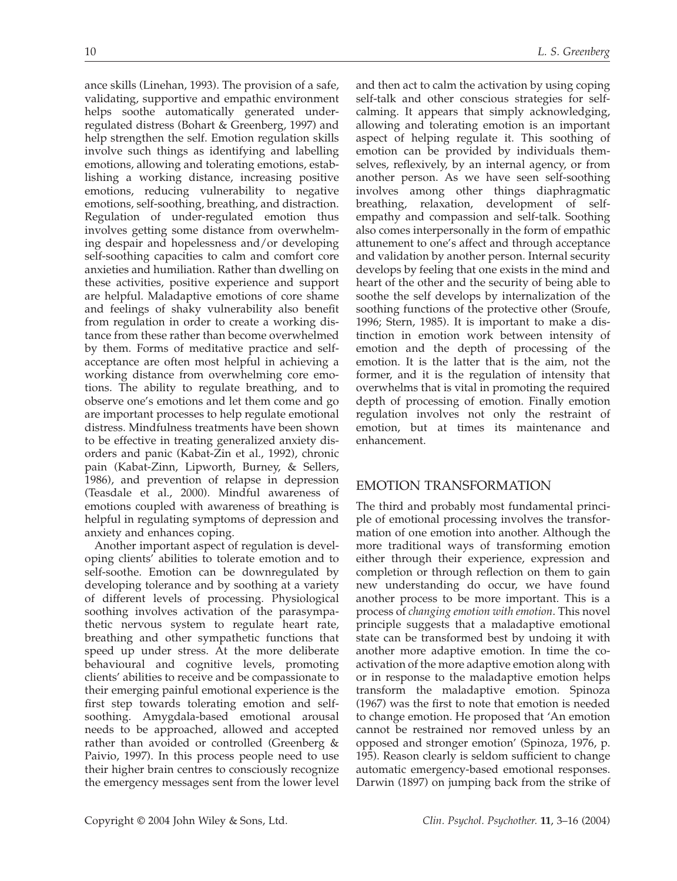ance skills (Linehan, 1993). The provision of a safe, validating, supportive and empathic environment helps soothe automatically generated underregulated distress (Bohart & Greenberg, 1997) and help strengthen the self. Emotion regulation skills involve such things as identifying and labelling emotions, allowing and tolerating emotions, establishing a working distance, increasing positive emotions, reducing vulnerability to negative emotions, self-soothing, breathing, and distraction. Regulation of under-regulated emotion thus involves getting some distance from overwhelming despair and hopelessness and/or developing self-soothing capacities to calm and comfort core anxieties and humiliation. Rather than dwelling on these activities, positive experience and support are helpful. Maladaptive emotions of core shame and feelings of shaky vulnerability also benefit from regulation in order to create a working distance from these rather than become overwhelmed by them. Forms of meditative practice and selfacceptance are often most helpful in achieving a working distance from overwhelming core emotions. The ability to regulate breathing, and to observe one's emotions and let them come and go are important processes to help regulate emotional distress. Mindfulness treatments have been shown to be effective in treating generalized anxiety disorders and panic (Kabat-Zin et al., 1992), chronic pain (Kabat-Zinn, Lipworth, Burney, & Sellers, 1986), and prevention of relapse in depression (Teasdale et al., 2000). Mindful awareness of emotions coupled with awareness of breathing is helpful in regulating symptoms of depression and anxiety and enhances coping.

Another important aspect of regulation is developing clients' abilities to tolerate emotion and to self-soothe. Emotion can be downregulated by developing tolerance and by soothing at a variety of different levels of processing. Physiological soothing involves activation of the parasympathetic nervous system to regulate heart rate, breathing and other sympathetic functions that speed up under stress. At the more deliberate behavioural and cognitive levels, promoting clients' abilities to receive and be compassionate to their emerging painful emotional experience is the first step towards tolerating emotion and selfsoothing. Amygdala-based emotional arousal needs to be approached, allowed and accepted rather than avoided or controlled (Greenberg & Paivio, 1997). In this process people need to use their higher brain centres to consciously recognize the emergency messages sent from the lower level and then act to calm the activation by using coping self-talk and other conscious strategies for selfcalming. It appears that simply acknowledging, allowing and tolerating emotion is an important aspect of helping regulate it. This soothing of emotion can be provided by individuals themselves, reflexively, by an internal agency, or from another person. As we have seen self-soothing involves among other things diaphragmatic breathing, relaxation, development of selfempathy and compassion and self-talk. Soothing also comes interpersonally in the form of empathic attunement to one's affect and through acceptance and validation by another person. Internal security develops by feeling that one exists in the mind and heart of the other and the security of being able to soothe the self develops by internalization of the soothing functions of the protective other (Sroufe, 1996; Stern, 1985). It is important to make a distinction in emotion work between intensity of emotion and the depth of processing of the emotion. It is the latter that is the aim, not the former, and it is the regulation of intensity that overwhelms that is vital in promoting the required depth of processing of emotion. Finally emotion regulation involves not only the restraint of emotion, but at times its maintenance and enhancement.

# EMOTION TRANSFORMATION

The third and probably most fundamental principle of emotional processing involves the transformation of one emotion into another. Although the more traditional ways of transforming emotion either through their experience, expression and completion or through reflection on them to gain new understanding do occur, we have found another process to be more important. This is a process of *changing emotion with emotion*. This novel principle suggests that a maladaptive emotional state can be transformed best by undoing it with another more adaptive emotion. In time the coactivation of the more adaptive emotion along with or in response to the maladaptive emotion helps transform the maladaptive emotion. Spinoza (1967) was the first to note that emotion is needed to change emotion. He proposed that 'An emotion cannot be restrained nor removed unless by an opposed and stronger emotion' (Spinoza, 1976, p. 195). Reason clearly is seldom sufficient to change automatic emergency-based emotional responses. Darwin (1897) on jumping back from the strike of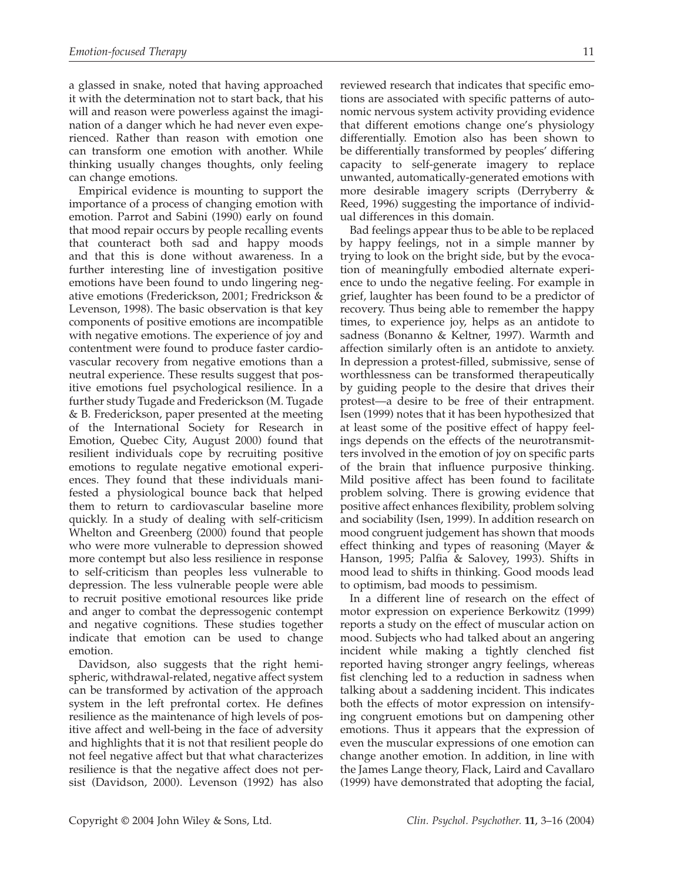a glassed in snake, noted that having approached it with the determination not to start back, that his will and reason were powerless against the imagination of a danger which he had never even experienced. Rather than reason with emotion one can transform one emotion with another. While thinking usually changes thoughts, only feeling can change emotions.

Empirical evidence is mounting to support the importance of a process of changing emotion with emotion. Parrot and Sabini (1990) early on found that mood repair occurs by people recalling events that counteract both sad and happy moods and that this is done without awareness. In a further interesting line of investigation positive emotions have been found to undo lingering negative emotions (Frederickson, 2001; Fredrickson & Levenson, 1998). The basic observation is that key components of positive emotions are incompatible with negative emotions. The experience of joy and contentment were found to produce faster cardiovascular recovery from negative emotions than a neutral experience. These results suggest that positive emotions fuel psychological resilience. In a further study Tugade and Frederickson (M. Tugade & B. Frederickson, paper presented at the meeting of the International Society for Research in Emotion, Quebec City, August 2000) found that resilient individuals cope by recruiting positive emotions to regulate negative emotional experiences. They found that these individuals manifested a physiological bounce back that helped them to return to cardiovascular baseline more quickly. In a study of dealing with self-criticism Whelton and Greenberg (2000) found that people who were more vulnerable to depression showed more contempt but also less resilience in response to self-criticism than peoples less vulnerable to depression. The less vulnerable people were able to recruit positive emotional resources like pride and anger to combat the depressogenic contempt and negative cognitions. These studies together indicate that emotion can be used to change emotion.

Davidson, also suggests that the right hemispheric, withdrawal-related, negative affect system can be transformed by activation of the approach system in the left prefrontal cortex. He defines resilience as the maintenance of high levels of positive affect and well-being in the face of adversity and highlights that it is not that resilient people do not feel negative affect but that what characterizes resilience is that the negative affect does not persist (Davidson, 2000). Levenson (1992) has also

reviewed research that indicates that specific emotions are associated with specific patterns of autonomic nervous system activity providing evidence that different emotions change one's physiology differentially. Emotion also has been shown to be differentially transformed by peoples' differing capacity to self-generate imagery to replace unwanted, automatically-generated emotions with more desirable imagery scripts (Derryberry & Reed, 1996) suggesting the importance of individual differences in this domain.

Bad feelings appear thus to be able to be replaced by happy feelings, not in a simple manner by trying to look on the bright side, but by the evocation of meaningfully embodied alternate experience to undo the negative feeling. For example in grief, laughter has been found to be a predictor of recovery. Thus being able to remember the happy times, to experience joy, helps as an antidote to sadness (Bonanno & Keltner, 1997). Warmth and affection similarly often is an antidote to anxiety. In depression a protest-filled, submissive, sense of worthlessness can be transformed therapeutically by guiding people to the desire that drives their protest—a desire to be free of their entrapment. Isen (1999) notes that it has been hypothesized that at least some of the positive effect of happy feelings depends on the effects of the neurotransmitters involved in the emotion of joy on specific parts of the brain that influence purposive thinking. Mild positive affect has been found to facilitate problem solving. There is growing evidence that positive affect enhances flexibility, problem solving and sociability (Isen, 1999). In addition research on mood congruent judgement has shown that moods effect thinking and types of reasoning (Mayer & Hanson, 1995; Palfia & Salovey, 1993). Shifts in mood lead to shifts in thinking. Good moods lead to optimism, bad moods to pessimism.

In a different line of research on the effect of motor expression on experience Berkowitz (1999) reports a study on the effect of muscular action on mood. Subjects who had talked about an angering incident while making a tightly clenched fist reported having stronger angry feelings, whereas fist clenching led to a reduction in sadness when talking about a saddening incident. This indicates both the effects of motor expression on intensifying congruent emotions but on dampening other emotions. Thus it appears that the expression of even the muscular expressions of one emotion can change another emotion. In addition, in line with the James Lange theory, Flack, Laird and Cavallaro (1999) have demonstrated that adopting the facial,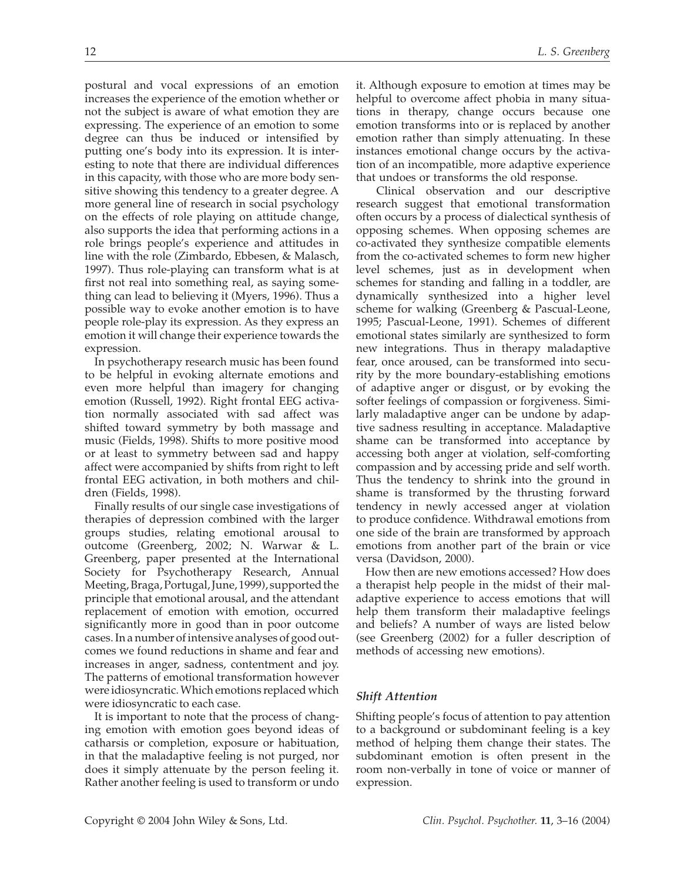postural and vocal expressions of an emotion increases the experience of the emotion whether or not the subject is aware of what emotion they are expressing. The experience of an emotion to some degree can thus be induced or intensified by putting one's body into its expression. It is interesting to note that there are individual differences in this capacity, with those who are more body sensitive showing this tendency to a greater degree. A more general line of research in social psychology on the effects of role playing on attitude change, also supports the idea that performing actions in a role brings people's experience and attitudes in line with the role (Zimbardo, Ebbesen, & Malasch, 1997). Thus role-playing can transform what is at first not real into something real, as saying something can lead to believing it (Myers, 1996). Thus a possible way to evoke another emotion is to have people role-play its expression. As they express an emotion it will change their experience towards the expression.

In psychotherapy research music has been found to be helpful in evoking alternate emotions and even more helpful than imagery for changing emotion (Russell, 1992). Right frontal EEG activation normally associated with sad affect was shifted toward symmetry by both massage and music (Fields, 1998). Shifts to more positive mood or at least to symmetry between sad and happy affect were accompanied by shifts from right to left frontal EEG activation, in both mothers and children (Fields, 1998).

Finally results of our single case investigations of therapies of depression combined with the larger groups studies, relating emotional arousal to outcome (Greenberg, 2002; N. Warwar & L. Greenberg, paper presented at the International Society for Psychotherapy Research, Annual Meeting, Braga, Portugal, June, 1999), supported the principle that emotional arousal, and the attendant replacement of emotion with emotion, occurred significantly more in good than in poor outcome cases. In a number of intensive analyses of good outcomes we found reductions in shame and fear and increases in anger, sadness, contentment and joy. The patterns of emotional transformation however were idiosyncratic. Which emotions replaced which were idiosyncratic to each case.

It is important to note that the process of changing emotion with emotion goes beyond ideas of catharsis or completion, exposure or habituation, in that the maladaptive feeling is not purged, nor does it simply attenuate by the person feeling it. Rather another feeling is used to transform or undo it. Although exposure to emotion at times may be helpful to overcome affect phobia in many situations in therapy, change occurs because one emotion transforms into or is replaced by another emotion rather than simply attenuating. In these instances emotional change occurs by the activation of an incompatible, more adaptive experience that undoes or transforms the old response.

Clinical observation and our descriptive research suggest that emotional transformation often occurs by a process of dialectical synthesis of opposing schemes. When opposing schemes are co-activated they synthesize compatible elements from the co-activated schemes to form new higher level schemes, just as in development when schemes for standing and falling in a toddler, are dynamically synthesized into a higher level scheme for walking (Greenberg & Pascual-Leone, 1995; Pascual-Leone, 1991). Schemes of different emotional states similarly are synthesized to form new integrations. Thus in therapy maladaptive fear, once aroused, can be transformed into security by the more boundary-establishing emotions of adaptive anger or disgust, or by evoking the softer feelings of compassion or forgiveness. Similarly maladaptive anger can be undone by adaptive sadness resulting in acceptance. Maladaptive shame can be transformed into acceptance by accessing both anger at violation, self-comforting compassion and by accessing pride and self worth. Thus the tendency to shrink into the ground in shame is transformed by the thrusting forward tendency in newly accessed anger at violation to produce confidence. Withdrawal emotions from one side of the brain are transformed by approach emotions from another part of the brain or vice versa (Davidson, 2000).

How then are new emotions accessed? How does a therapist help people in the midst of their maladaptive experience to access emotions that will help them transform their maladaptive feelings and beliefs? A number of ways are listed below (see Greenberg (2002) for a fuller description of methods of accessing new emotions).

## *Shift Attention*

Shifting people's focus of attention to pay attention to a background or subdominant feeling is a key method of helping them change their states. The subdominant emotion is often present in the room non-verbally in tone of voice or manner of expression.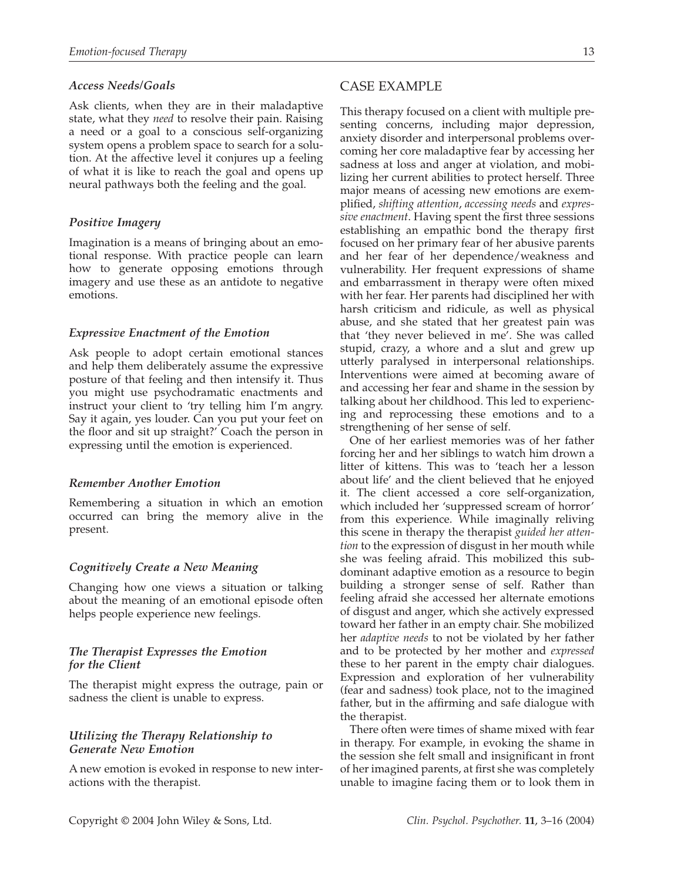#### *Access Needs/Goals*

Ask clients, when they are in their maladaptive state, what they *need* to resolve their pain. Raising a need or a goal to a conscious self-organizing system opens a problem space to search for a solution. At the affective level it conjures up a feeling of what it is like to reach the goal and opens up neural pathways both the feeling and the goal.

## *Positive Imagery*

Imagination is a means of bringing about an emotional response. With practice people can learn how to generate opposing emotions through imagery and use these as an antidote to negative emotions.

#### *Expressive Enactment of the Emotion*

Ask people to adopt certain emotional stances and help them deliberately assume the expressive posture of that feeling and then intensify it. Thus you might use psychodramatic enactments and instruct your client to 'try telling him I'm angry. Say it again, yes louder. Can you put your feet on the floor and sit up straight?' Coach the person in expressing until the emotion is experienced.

#### *Remember Another Emotion*

Remembering a situation in which an emotion occurred can bring the memory alive in the present.

## *Cognitively Create a New Meaning*

Changing how one views a situation or talking about the meaning of an emotional episode often helps people experience new feelings.

#### *The Therapist Expresses the Emotion for the Client*

The therapist might express the outrage, pain or sadness the client is unable to express.

#### *Utilizing the Therapy Relationship to Generate New Emotion*

A new emotion is evoked in response to new interactions with the therapist.

# CASE EXAMPLE

This therapy focused on a client with multiple presenting concerns, including major depression, anxiety disorder and interpersonal problems overcoming her core maladaptive fear by accessing her sadness at loss and anger at violation, and mobilizing her current abilities to protect herself. Three major means of acessing new emotions are exemplified, *shifting attention*, *accessing needs* and *expressive enactment*. Having spent the first three sessions establishing an empathic bond the therapy first focused on her primary fear of her abusive parents and her fear of her dependence/weakness and vulnerability. Her frequent expressions of shame and embarrassment in therapy were often mixed with her fear. Her parents had disciplined her with harsh criticism and ridicule, as well as physical abuse, and she stated that her greatest pain was that 'they never believed in me'. She was called stupid, crazy, a whore and a slut and grew up utterly paralysed in interpersonal relationships. Interventions were aimed at becoming aware of and accessing her fear and shame in the session by talking about her childhood. This led to experiencing and reprocessing these emotions and to a strengthening of her sense of self.

One of her earliest memories was of her father forcing her and her siblings to watch him drown a litter of kittens. This was to 'teach her a lesson about life' and the client believed that he enjoyed it. The client accessed a core self-organization, which included her 'suppressed scream of horror' from this experience. While imaginally reliving this scene in therapy the therapist *guided her attention* to the expression of disgust in her mouth while she was feeling afraid. This mobilized this subdominant adaptive emotion as a resource to begin building a stronger sense of self. Rather than feeling afraid she accessed her alternate emotions of disgust and anger, which she actively expressed toward her father in an empty chair. She mobilized her *adaptive needs* to not be violated by her father and to be protected by her mother and *expressed* these to her parent in the empty chair dialogues. Expression and exploration of her vulnerability (fear and sadness) took place, not to the imagined father, but in the affirming and safe dialogue with the therapist.

There often were times of shame mixed with fear in therapy. For example, in evoking the shame in the session she felt small and insignificant in front of her imagined parents, at first she was completely unable to imagine facing them or to look them in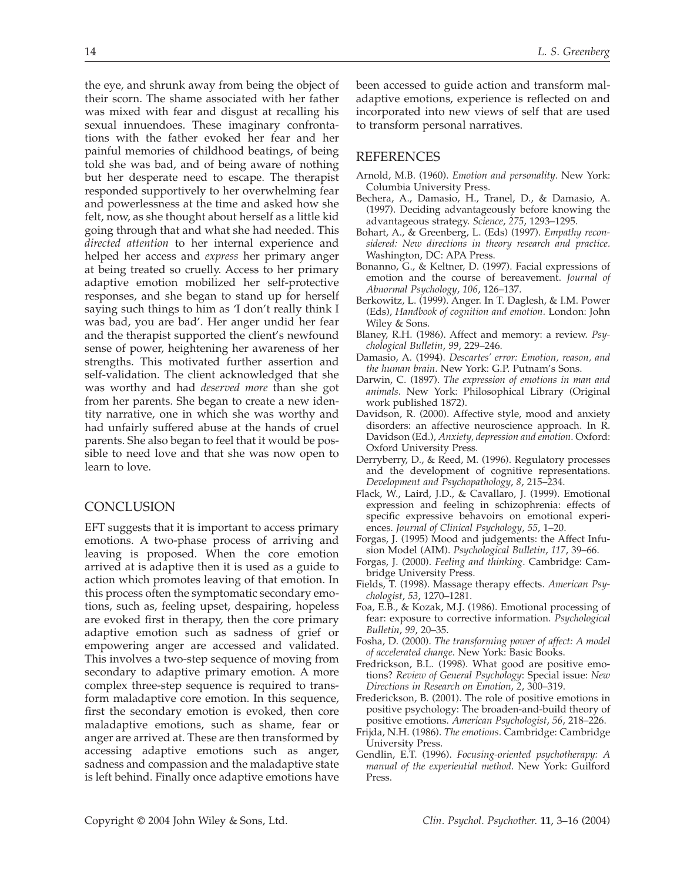the eye, and shrunk away from being the object of their scorn. The shame associated with her father was mixed with fear and disgust at recalling his sexual innuendoes. These imaginary confrontations with the father evoked her fear and her painful memories of childhood beatings, of being told she was bad, and of being aware of nothing but her desperate need to escape. The therapist responded supportively to her overwhelming fear and powerlessness at the time and asked how she felt, now, as she thought about herself as a little kid going through that and what she had needed. This *directed attention* to her internal experience and helped her access and *express* her primary anger at being treated so cruelly. Access to her primary adaptive emotion mobilized her self-protective responses, and she began to stand up for herself saying such things to him as 'I don't really think I was bad, you are bad'. Her anger undid her fear and the therapist supported the client's newfound sense of power, heightening her awareness of her strengths. This motivated further assertion and self-validation. The client acknowledged that she was worthy and had *deserved more* than she got from her parents. She began to create a new identity narrative, one in which she was worthy and had unfairly suffered abuse at the hands of cruel parents. She also began to feel that it would be possible to need love and that she was now open to learn to love.

## CONCLUSION

EFT suggests that it is important to access primary emotions. A two-phase process of arriving and leaving is proposed. When the core emotion arrived at is adaptive then it is used as a guide to action which promotes leaving of that emotion. In this process often the symptomatic secondary emotions, such as, feeling upset, despairing, hopeless are evoked first in therapy, then the core primary adaptive emotion such as sadness of grief or empowering anger are accessed and validated. This involves a two-step sequence of moving from secondary to adaptive primary emotion. A more complex three-step sequence is required to transform maladaptive core emotion. In this sequence, first the secondary emotion is evoked, then core maladaptive emotions, such as shame, fear or anger are arrived at. These are then transformed by accessing adaptive emotions such as anger, sadness and compassion and the maladaptive state is left behind. Finally once adaptive emotions have been accessed to guide action and transform maladaptive emotions, experience is reflected on and incorporated into new views of self that are used to transform personal narratives.

#### REFERENCES

- Arnold, M.B. (1960). *Emotion and personality*. New York: Columbia University Press.
- Bechera, A., Damasio, H., Tranel, D., & Damasio, A. (1997). Deciding advantageously before knowing the advantageous strategy. *Science*, *275*, 1293–1295.
- Bohart, A., & Greenberg, L. (Eds) (1997). *Empathy reconsidered: New directions in theory research and practice.* Washington, DC: APA Press.
- Bonanno, G., & Keltner, D. (1997). Facial expressions of emotion and the course of bereavement. *Journal of Abnormal Psychology*, *106*, 126–137.
- Berkowitz, L. (1999). Anger. In T. Daglesh, & I.M. Power (Eds), *Handbook of cognition and emotion.* London: John Wiley & Sons.
- Blaney, R.H. (1986). Affect and memory: a review. *Psychological Bulletin*, *99*, 229–246.
- Damasio, A. (1994). *Descartes' error: Emotion, reason, and the human brain.* New York: G.P. Putnam's Sons.
- Darwin, C. (1897). *The expression of emotions in man and animals*. New York: Philosophical Library (Original work published 1872).
- Davidson, R. (2000). Affective style, mood and anxiety disorders: an affective neuroscience approach. In R. Davidson (Ed.), *Anxiety, depression and emotion.* Oxford: Oxford University Press.
- Derryberry, D., & Reed, M. (1996). Regulatory processes and the development of cognitive representations. *Development and Psychopathology*, *8*, 215–234.
- Flack, W., Laird, J.D., & Cavallaro, J. (1999). Emotional expression and feeling in schizophrenia: effects of specific expressive behavoirs on emotional experiences. *Journal of Clinical Psychology*, *55*, 1–20.
- Forgas, J. (1995) Mood and judgements: the Affect Infusion Model (AIM). *Psychological Bulletin*, *117*, 39–66.
- Forgas, J. (2000). *Feeling and thinking*. Cambridge: Cambridge University Press.
- Fields, T. (1998). Massage therapy effects. *American Psychologist*, *53*, 1270–1281.
- Foa, E.B., & Kozak, M.J. (1986). Emotional processing of fear: exposure to corrective information. *Psychological Bulletin*, *99*, 20–35.
- Fosha, D. (2000). *The transforming power of affect: A model of accelerated change*. New York: Basic Books.
- Fredrickson, B.L. (1998). What good are positive emotions? *Review of General Psychology*: Special issue: *New Directions in Research on Emotion*, *2*, 300–319.
- Frederickson, B. (2001). The role of positive emotions in positive psychology: The broaden-and-build theory of positive emotions. *American Psychologist*, *56*, 218–226.
- Frijda, N.H. (1986). *The emotions.* Cambridge: Cambridge University Press.
- Gendlin, E.T. (1996). *Focusing-oriented psychotherapy: A manual of the experiential method*. New York: Guilford Press.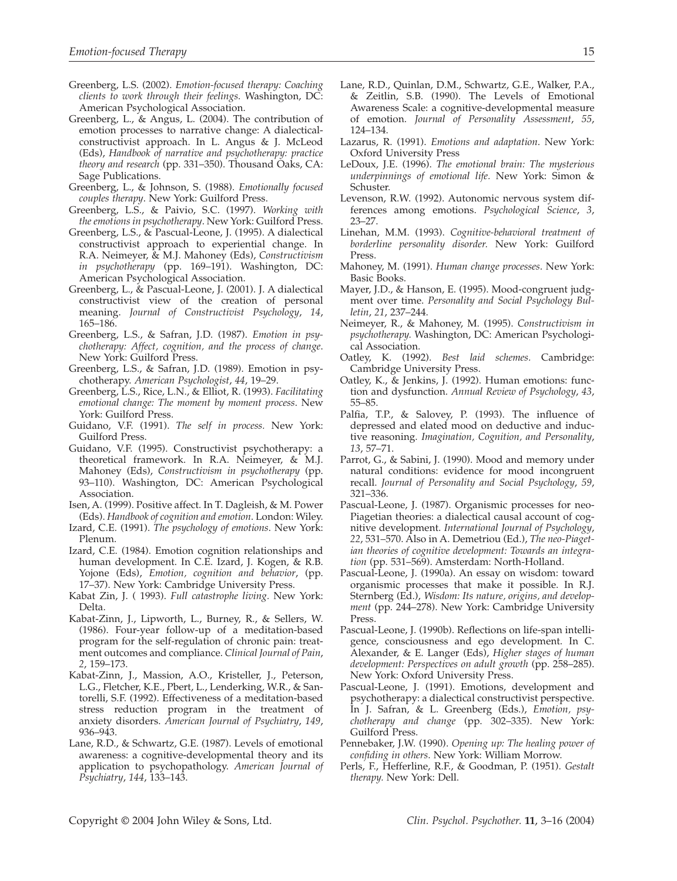- Greenberg, L.S. (2002). *Emotion-focused therapy: Coaching clients to work through their feelings*. Washington, DC: American Psychological Association.
- Greenberg, L., & Angus, L. (2004). The contribution of emotion processes to narrative change: A dialecticalconstructivist approach. In L. Angus & J. McLeod (Eds), *Handbook of narrative and psychotherapy: practice theory and research* (pp. 331–350). Thousand Oaks, CA: Sage Publications.
- Greenberg, L., & Johnson, S. (1988). *Emotionally focused couples therapy*. New York: Guilford Press.
- Greenberg, L.S., & Paivio, S.C. (1997). *Working with the emotions in psychotherapy*. New York: Guilford Press.
- Greenberg, L.S., & Pascual-Leone, J. (1995). A dialectical constructivist approach to experiential change. In R.A. Neimeyer, & M.J. Mahoney (Eds), *Constructivism in psychotherapy* (pp. 169–191). Washington, DC: American Psychological Association.
- Greenberg, L., & Pascual-Leone, J. (2001). J. A dialectical constructivist view of the creation of personal meaning. *Journal of Constructivist Psychology*, *14*, 165–186.
- Greenberg, L.S., & Safran, J.D. (1987). *Emotion in psychotherapy: Affect, cognition, and the process of change*. New York: Guilford Press.
- Greenberg, L.S., & Safran, J.D. (1989). Emotion in psychotherapy. *American Psychologist*, *44*, 19–29.
- Greenberg, L.S., Rice, L.N., & Elliot, R. (1993). *Facilitating emotional change: The moment by moment process*. New York: Guilford Press.
- Guidano, V.F. (1991). *The self in process.* New York: Guilford Press.
- Guidano, V.F. (1995). Constructivist psychotherapy: a theoretical framework. In R.A. Neimeyer, & M.J. Mahoney (Eds), *Constructivism in psychotherapy* (pp. 93–110). Washington, DC: American Psychological Association.
- Isen, A. (1999). Positive affect. In T. Dagleish, & M. Power (Eds). *Handbook of cognition and emotion*. London: Wiley.
- Izard, C.E. (1991). *The psychology of emotions*. New York: Plenum.
- Izard, C.E. (1984). Emotion cognition relationships and human development. In C.E. Izard, J. Kogen, & R.B. Yojone (Eds), *Emotion, cognition and behavior*, (pp. 17–37). New York: Cambridge University Press.
- Kabat Zin, J. ( 1993). *Full catastrophe living.* New York: Delta.
- Kabat-Zinn, J., Lipworth, L., Burney, R., & Sellers, W. (1986). Four-year follow-up of a meditation-based program for the self-regulation of chronic pain: treatment outcomes and compliance. *Clinical Journal of Pain*, *2*, 159–173.
- Kabat-Zinn, J., Massion, A.O., Kristeller, J., Peterson, L.G., Fletcher, K.E., Pbert, L., Lenderking, W.R., & Santorelli, S.F. (1992). Effectiveness of a meditation-based stress reduction program in the treatment of anxiety disorders. *American Journal of Psychiatry*, *149*, 936–943.
- Lane, R.D., & Schwartz, G.E. (1987). Levels of emotional awareness: a cognitive-developmental theory and its application to psychopathology. *American Journal of Psychiatry*, *144*, 133–143.
- Lane, R.D., Quinlan, D.M., Schwartz, G.E., Walker, P.A., & Zeitlin, S.B. (1990). The Levels of Emotional Awareness Scale: a cognitive-developmental measure of emotion. *Journal of Personality Assessment*, *55*, 124–134.
- Lazarus, R. (1991). *Emotions and adaptation*. New York: Oxford University Press
- LeDoux, J.E. (1996). *The emotional brain: The mysterious underpinnings of emotional life.* New York: Simon & Schuster.
- Levenson, R.W. (1992). Autonomic nervous system differences among emotions. *Psychological Science*, *3*, 23–27.
- Linehan, M.M. (1993). *Cognitive-behavioral treatment of borderline personality disorder.* New York: Guilford Press.
- Mahoney, M. (1991). *Human change processes*. New York: Basic Books.
- Mayer, J.D., & Hanson, E. (1995). Mood-congruent judgment over time. *Personality and Social Psychology Bulletin*, *21*, 237–244.
- Neimeyer, R., & Mahoney, M. (1995). *Constructivism in psychotherapy.* Washington, DC: American Psychological Association.
- Oatley, K. (1992). *Best laid schemes.* Cambridge: Cambridge University Press.
- Oatley, K., & Jenkins, J. (1992). Human emotions: function and dysfunction. *Annual Review of Psychology*, *43*, 55–85.
- Palfia, T.P., & Salovey, P. (1993). The influence of depressed and elated mood on deductive and inductive reasoning. *Imagination, Cognition, and Personality*, *13*, 57–71.
- Parrot, G., & Sabini, J. (1990). Mood and memory under natural conditions: evidence for mood incongruent recall. *Journal of Personality and Social Psychology*, *59*, 321–336.
- Pascual-Leone, J. (1987). Organismic processes for neo-Piagetian theories: a dialectical causal account of cognitive development. *International Journal of Psychology*, *22*, 531–570. Also in A. Demetriou (Ed.), *The neo-Piagetian theories of cognitive development: Towards an integration* (pp. 531–569). Amsterdam: North-Holland.
- Pascual-Leone, J. (1990a). An essay on wisdom: toward organismic processes that make it possible. In R.J. Sternberg (Ed.), *Wisdom: Its nature, origins, and development* (pp. 244–278). New York: Cambridge University Press.
- Pascual-Leone, J. (1990b). Reflections on life-span intelligence, consciousness and ego development. In C. Alexander, & E. Langer (Eds), *Higher stages of human development: Perspectives on adult growth* (pp. 258–285). New York: Oxford University Press.
- Pascual-Leone, J. (1991). Emotions, development and psychotherapy: a dialectical constructivist perspective. In J. Safran, & L. Greenberg (Eds.), *Emotion, psychotherapy and change* (pp. 302–335). New York: Guilford Press.
- Pennebaker, J.W. (1990). *Opening up: The healing power of confiding in others*. New York: William Morrow.
- Perls, F., Hefferline, R.F., & Goodman, P. (1951). *Gestalt therapy.* New York: Dell.